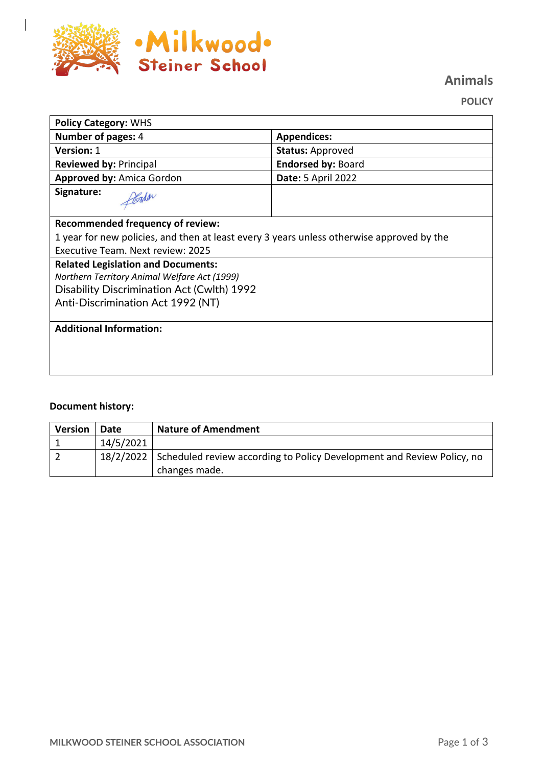

 $\overline{\phantom{a}}$ 

**Animals**

**POLICY**

| <b>Policy Category: WHS</b>                                                               |                           |  |  |
|-------------------------------------------------------------------------------------------|---------------------------|--|--|
| Number of pages: 4                                                                        | <b>Appendices:</b>        |  |  |
| <b>Version: 1</b>                                                                         | <b>Status: Approved</b>   |  |  |
| <b>Reviewed by: Principal</b>                                                             | <b>Endorsed by: Board</b> |  |  |
| <b>Approved by: Amica Gordon</b>                                                          | <b>Date: 5 April 2022</b> |  |  |
| Signature:                                                                                |                           |  |  |
| <b>Recommended frequency of review:</b>                                                   |                           |  |  |
| 1 year for new policies, and then at least every 3 years unless otherwise approved by the |                           |  |  |
| Executive Team. Next review: 2025                                                         |                           |  |  |
| <b>Related Legislation and Documents:</b>                                                 |                           |  |  |
| Northern Territory Animal Welfare Act (1999)                                              |                           |  |  |
| Disability Discrimination Act (Cwlth) 1992                                                |                           |  |  |
| Anti-Discrimination Act 1992 (NT)                                                         |                           |  |  |
|                                                                                           |                           |  |  |
| <b>Additional Information:</b>                                                            |                           |  |  |
|                                                                                           |                           |  |  |
|                                                                                           |                           |  |  |
|                                                                                           |                           |  |  |

## **Document history:**

| <b>Version</b> | Date      | <b>Nature of Amendment</b>                                                                        |
|----------------|-----------|---------------------------------------------------------------------------------------------------|
|                | 14/5/2021 |                                                                                                   |
|                |           | 18/2/2022 Scheduled review according to Policy Development and Review Policy, no<br>changes made. |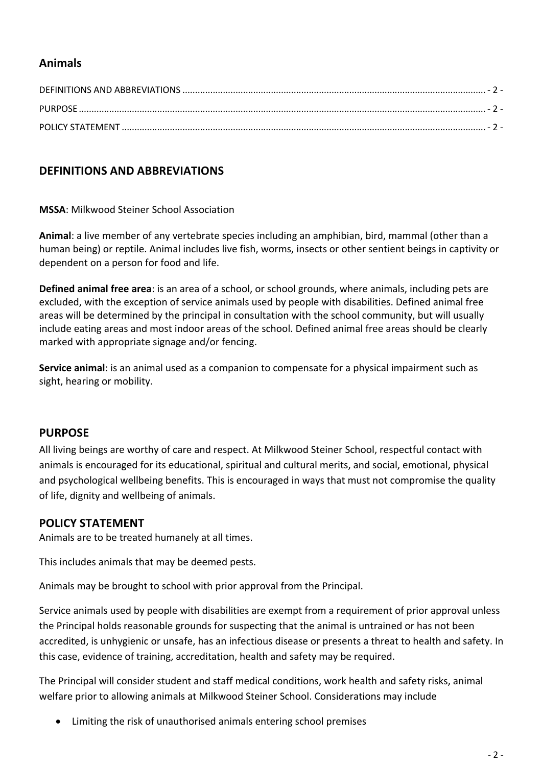# **Animals**

# **DEFINITIONS AND ABBREVIATIONS**

**MSSA**: Milkwood Steiner School Association

**Animal**: a live member of any vertebrate species including an amphibian, bird, mammal (other than a human being) or reptile. Animal includes live fish, worms, insects or other sentient beings in captivity or dependent on a person for food and life.

**Defined animal free area**: is an area of a school, or school grounds, where animals, including pets are excluded, with the exception of service animals used by people with disabilities. Defined animal free areas will be determined by the principal in consultation with the school community, but will usually include eating areas and most indoor areas of the school. Defined animal free areas should be clearly marked with appropriate signage and/or fencing.

**Service animal**: is an animal used as a companion to compensate for a physical impairment such as sight, hearing or mobility.

### **PURPOSE**

All living beings are worthy of care and respect. At Milkwood Steiner School, respectful contact with animals is encouraged for its educational, spiritual and cultural merits, and social, emotional, physical and psychological wellbeing benefits. This is encouraged in ways that must not compromise the quality of life, dignity and wellbeing of animals.

### **POLICY STATEMENT**

Animals are to be treated humanely at all times.

This includes animals that may be deemed pests.

Animals may be brought to school with prior approval from the Principal.

Service animals used by people with disabilities are exempt from a requirement of prior approval unless the Principal holds reasonable grounds for suspecting that the animal is untrained or has not been accredited, is unhygienic or unsafe, has an infectious disease or presents a threat to health and safety. In this case, evidence of training, accreditation, health and safety may be required.

The Principal will consider student and staff medical conditions, work health and safety risks, animal welfare prior to allowing animals at Milkwood Steiner School. Considerations may include

• Limiting the risk of unauthorised animals entering school premises